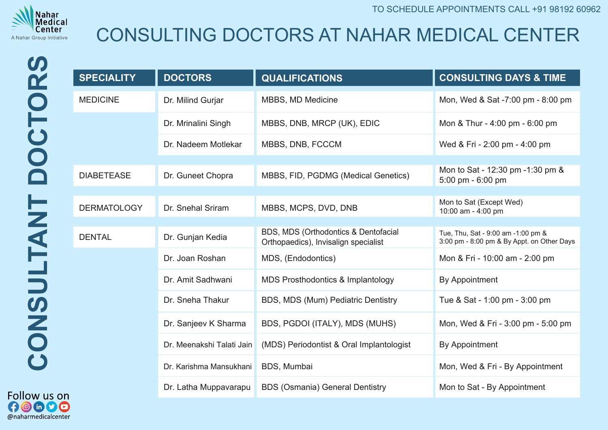

Follow us on  $\bigoplus$  (in  $\bigodot$   $\bigoplus$ @naharmedicalcenter

| $\mathbf{\Omega}$ | <b>SPECIALITY</b>  | <b>DOCTORS</b>            | <b>QUALIFICATIO</b>                    |
|-------------------|--------------------|---------------------------|----------------------------------------|
|                   | <b>MEDICINE</b>    | Dr. Milind Gurjar         | MBBS, MD Medic                         |
|                   |                    | Dr. Mrinalini Singh       | MBBS, DNB, MR                          |
| OCTO              |                    | Dr. Nadeem Motlekar       | MBBS, DNB, FCC                         |
| $\Box$            | <b>DIABETEASE</b>  | Dr. Guneet Chopra         | MBBS, FID, PGDI                        |
|                   | <b>DERMATOLOGY</b> | Dr. Snehal Sriram         | MBBS, MCPS, DV                         |
| <b>SULTANT</b>    | <b>DENTAL</b>      | Dr. Gunjan Kedia          | BDS, MDS (Orthod<br>Orthopaedics), Inv |
|                   |                    | Dr. Joan Roshan           | MDS, (Endodontion                      |
|                   |                    | Dr. Amit Sadhwani         | <b>MDS Prosthodont</b>                 |
|                   |                    | Dr. Sneha Thakur          | BDS, MDS (Mum)                         |
| NO                |                    | Dr. Sanjeev K Sharma      | BDS, PGDOI (ITA                        |
|                   |                    | Dr. Meenakshi Talati Jain | (MDS) Periodontis                      |
|                   |                    | Dr. Karishma Mansukhani   | BDS, Mumbai                            |

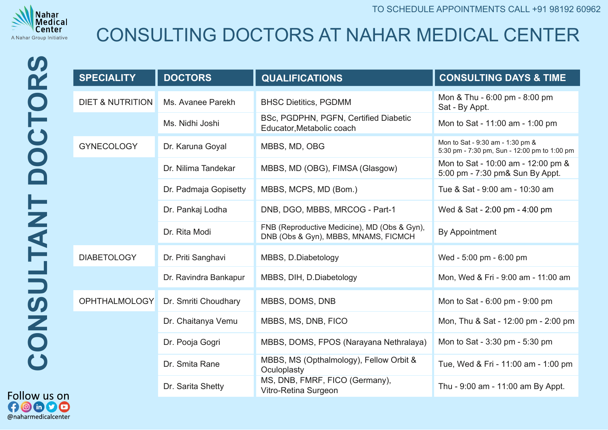

Follow us on  $\bigoplus \mathbb{G}$  in  $\bigodot \mathbb{G}$ @naharmedicalcenter

| <b>SPECIALITY</b>           | <b>DOCTORS</b>        | <b>QUALIFICATIONS</b>                                                                | <b>CONSULTING DAYS &amp; TIME</b>                                               |
|-----------------------------|-----------------------|--------------------------------------------------------------------------------------|---------------------------------------------------------------------------------|
| <b>DIET &amp; NUTRITION</b> | Ms. Avanee Parekh     | <b>BHSC Dietitics, PGDMM</b>                                                         | Mon & Thu - 6:00 pm - 8:00 pm<br>Sat - By Appt.                                 |
|                             | Ms. Nidhi Joshi       | BSc, PGDPHN, PGFN, Certified Diabetic<br>Educator, Metabolic coach                   | Mon to Sat - 11:00 am - 1:00 pm                                                 |
| <b>GYNECOLOGY</b>           | Dr. Karuna Goyal      | MBBS, MD, OBG                                                                        | Mon to Sat - 9:30 am - 1:30 pm &<br>5:30 pm - 7:30 pm, Sun - 12:00 pm to 1:00 p |
|                             | Dr. Nilima Tandekar   | MBBS, MD (OBG), FIMSA (Glasgow)                                                      | Mon to Sat - 10:00 am - 12:00 pm 8<br>5:00 pm - 7:30 pm& Sun By Appt.           |
|                             | Dr. Padmaja Gopisetty | MBBS, MCPS, MD (Bom.)                                                                | Tue & Sat - 9:00 am - 10:30 am                                                  |
|                             | Dr. Pankaj Lodha      | DNB, DGO, MBBS, MRCOG - Part-1                                                       | Wed & Sat - 2:00 pm - 4:00 pm                                                   |
|                             | Dr. Rita Modi         | FNB (Reproductive Medicine), MD (Obs & Gyn),<br>DNB (Obs & Gyn), MBBS, MNAMS, FICMCH | By Appointment                                                                  |
| <b>DIABETOLOGY</b>          | Dr. Priti Sanghavi    | MBBS, D.Diabetology                                                                  | Wed - 5:00 pm - 6:00 pm                                                         |
|                             | Dr. Ravindra Bankapur | MBBS, DIH, D.Diabetology                                                             | Mon, Wed & Fri - 9:00 am - 11:00 am                                             |
| <b>OPHTHALMOLOGY</b>        | Dr. Smriti Choudhary  | MBBS, DOMS, DNB                                                                      | Mon to Sat - 6:00 pm - 9:00 pm                                                  |
|                             | Dr. Chaitanya Vemu    | MBBS, MS, DNB, FICO                                                                  | Mon, Thu & Sat - 12:00 pm - 2:00 p                                              |
|                             | Dr. Pooja Gogri       | MBBS, DOMS, FPOS (Narayana Nethralaya)                                               | Mon to Sat - 3:30 pm - 5:30 pm                                                  |
|                             | Dr. Smita Rane        | MBBS, MS (Opthalmology), Fellow Orbit &<br>Oculoplasty                               | Tue, Wed & Fri - 11:00 am - 1:00 pr                                             |

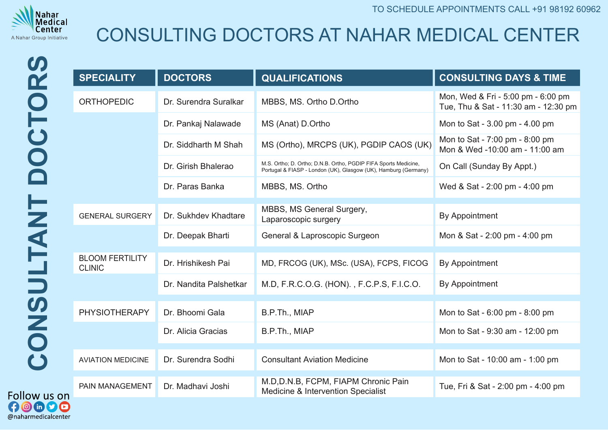

Follow us on  $00000$ @naharmedicalcenter

|                         | <b>SPECIALITY</b>                       | <b>DOCTORS</b>         | $\overline{\mathsf{C}}$ |
|-------------------------|-----------------------------------------|------------------------|-------------------------|
|                         | <b>ORTHOPEDIC</b>                       | Dr. Surendra Suralkar  | Λ                       |
| CTO                     |                                         | Dr. Pankaj Nalawade    | N                       |
|                         |                                         | Dr. Siddharth M Shah   | Λ                       |
| $\bullet$               |                                         | Dr. Girish Bhalerao    | M<br>$\mathsf{P}$       |
| $\bullet$               |                                         | Dr. Paras Banka        | Λ                       |
|                         | <b>GENERAL SURGERY</b>                  | Dr. Sukhdev Khadtare   | Λ                       |
|                         |                                         | Dr. Deepak Bharti      | G                       |
| NSULTANT                | <b>BLOOM FERTILITY</b><br><b>CLINIC</b> | Dr. Hrishikesh Pai     | N                       |
|                         |                                         | Dr. Nandita Palshetkar | N                       |
|                         | <b>PHYSIOTHERAPY</b>                    | Dr. Bhoomi Gala        | B                       |
| $\overline{\textbf{O}}$ |                                         | Dr. Alicia Gracias     | B                       |
|                         | <b>AVIATION MEDICINE</b>                | Dr. Surendra Sodhi     | C                       |
|                         |                                         |                        |                         |

| <b>SPECIALITY</b>                       | <b>DOCTORS</b>         | <b>QUALIFICATIONS</b>                                                                                                              | <b>CONSULTING DAYS &amp; TIME</b>                                          |
|-----------------------------------------|------------------------|------------------------------------------------------------------------------------------------------------------------------------|----------------------------------------------------------------------------|
| <b>ORTHOPEDIC</b>                       | Dr. Surendra Suralkar  | MBBS, MS. Ortho D.Ortho                                                                                                            | Mon, Wed & Fri - 5:00 pm - 6:00 pm<br>Tue, Thu & Sat - 11:30 am - 12:30 pm |
|                                         | Dr. Pankaj Nalawade    | MS (Anat) D.Ortho                                                                                                                  | Mon to Sat - 3.00 pm - 4.00 pm                                             |
|                                         | Dr. Siddharth M Shah   | MS (Ortho), MRCPS (UK), PGDIP CAOS (UK)                                                                                            | Mon to Sat - 7:00 pm - 8:00 pm<br>Mon & Wed -10:00 am - 11:00 am           |
|                                         | Dr. Girish Bhalerao    | M.S. Ortho; D. Ortho; D.N.B. Ortho, PGDIP FIFA Sports Medicine,<br>Portugal & FIASP - London (UK), Glasgow (UK), Hamburg (Germany) | On Call (Sunday By Appt.)                                                  |
|                                         | Dr. Paras Banka        | MBBS, MS. Ortho                                                                                                                    | Wed & Sat - 2:00 pm - 4:00 pm                                              |
| <b>GENERAL SURGERY</b>                  | Dr. Sukhdev Khadtare   | MBBS, MS General Surgery,<br>Laparoscopic surgery                                                                                  | By Appointment                                                             |
|                                         | Dr. Deepak Bharti      | General & Laproscopic Surgeon                                                                                                      | Mon & Sat - 2:00 pm - 4:00 pm                                              |
| <b>BLOOM FERTILITY</b><br><b>CLINIC</b> | Dr. Hrishikesh Pai     | MD, FRCOG (UK), MSc. (USA), FCPS, FICOG                                                                                            | By Appointment                                                             |
|                                         | Dr. Nandita Palshetkar | M.D, F.R.C.O.G. (HON)., F.C.P.S, F.I.C.O.                                                                                          | By Appointment                                                             |
| <b>PHYSIOTHERAPY</b>                    | Dr. Bhoomi Gala        | B.P.Th., MIAP                                                                                                                      | Mon to Sat - 6:00 pm - 8:00 pm                                             |
|                                         | Dr. Alicia Gracias     | B.P.Th., MIAP                                                                                                                      | Mon to Sat - 9:30 am - 12:00 pm                                            |
| <b>AVIATION MEDICINE</b>                | Dr. Surendra Sodhi     | <b>Consultant Aviation Medicine</b>                                                                                                | Mon to Sat - 10:00 am - 1:00 pm                                            |
| PAIN MANAGEMENT                         | Dr. Madhavi Joshi      | M.D, D.N.B, FCPM, FIAPM Chronic Pain<br>Medicine & Intervention Specialist                                                         | Tue, Fri & Sat - 2:00 pm - 4:00 pm                                         |
|                                         |                        |                                                                                                                                    |                                                                            |